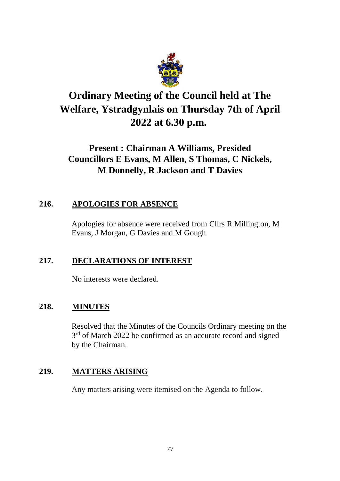

# **Ordinary Meeting of the Council held at The Welfare, Ystradgynlais on Thursday 7th of April 2022 at 6.30 p.m.**

## **Present : Chairman A Williams, Presided Councillors E Evans, M Allen, S Thomas, C Nickels, M Donnelly, R Jackson and T Davies**

## **216. APOLOGIES FOR ABSENCE**

Apologies for absence were received from Cllrs R Millington, M Evans, J Morgan, G Davies and M Gough

## **217. DECLARATIONS OF INTEREST**

No interests were declared.

## **218. MINUTES**

Resolved that the Minutes of the Councils Ordinary meeting on the 3<sup>rd</sup> of March 2022 be confirmed as an accurate record and signed by the Chairman.

## **219. MATTERS ARISING**

Any matters arising were itemised on the Agenda to follow.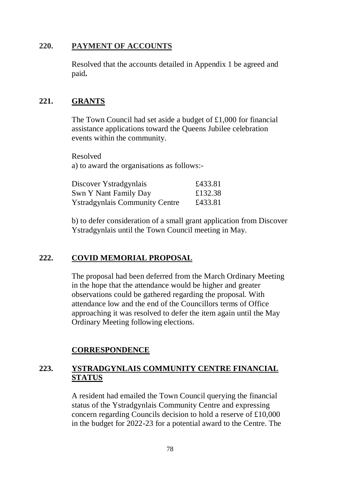#### **220. PAYMENT OF ACCOUNTS**

Resolved that the accounts detailed in Appendix 1 be agreed and paid**.**

## **221. GRANTS**

The Town Council had set aside a budget of £1,000 for financial assistance applications toward the Queens Jubilee celebration events within the community.

Resolved a) to award the organisations as follows:-

| Discover Ystradgynlais                 | £433.81 |
|----------------------------------------|---------|
| Swn Y Nant Family Day                  | £132.38 |
| <b>Y</b> stradgynlais Community Centre | £433.81 |

b) to defer consideration of a small grant application from Discover Ystradgynlais until the Town Council meeting in May.

## **222. COVID MEMORIAL PROPOSAL**

The proposal had been deferred from the March Ordinary Meeting in the hope that the attendance would be higher and greater observations could be gathered regarding the proposal. With attendance low and the end of the Councillors terms of Office approaching it was resolved to defer the item again until the May Ordinary Meeting following elections.

#### **CORRESPONDENCE**

## **223. YSTRADGYNLAIS COMMUNITY CENTRE FINANCIAL STATUS**

A resident had emailed the Town Council querying the financial status of the Ystradgynlais Community Centre and expressing concern regarding Councils decision to hold a reserve of £10,000 in the budget for 2022-23 for a potential award to the Centre. The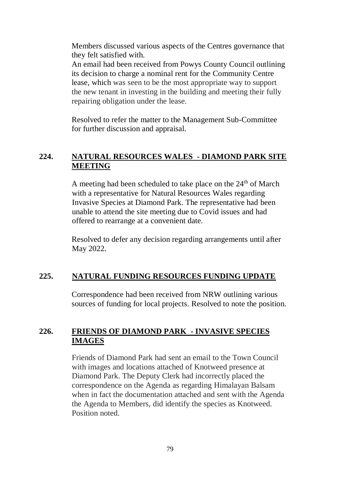Members discussed various aspects of the Centres governance that they felt satisfied with.

An email had been received from Powys County Council outlining its decision to charge a nominal rent for the Community Centre lease, which was seen to be the most appropriate way to support the new tenant in investing in the building and meeting their fully repairing obligation under the lease.

Resolved to refer the matter to the Management Sub-Committee for further discussion and appraisal.

#### **224. NATURAL RESOURCES WALES - DIAMOND PARK SITE MEETING**

A meeting had been scheduled to take place on the  $24<sup>th</sup>$  of March with a representative for Natural Resources Wales regarding Invasive Species at Diamond Park. The representative had been unable to attend the site meeting due to Covid issues and had offered to rearrange at a convenient date.

Resolved to defer any decision regarding arrangements until after May 2022.

#### **225. NATURAL FUNDING RESOURCES FUNDING UPDATE**

Correspondence had been received from NRW outlining various sources of funding for local projects. Resolved to note the position.

## **226. FRIENDS OF DIAMOND PARK - INVASIVE SPECIES IMAGES**

Friends of Diamond Park had sent an email to the Town Council with images and locations attached of Knotweed presence at Diamond Park. The Deputy Clerk had incorrectly placed the correspondence on the Agenda as regarding Himalayan Balsam when in fact the documentation attached and sent with the Agenda the Agenda to Members, did identify the species as Knotweed. Position noted.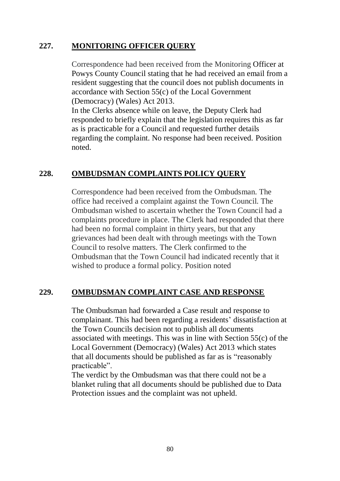#### **227. MONITORING OFFICER QUERY**

Correspondence had been received from the Monitoring Officer at Powys County Council stating that he had received an email from a resident suggesting that the council does not publish documents in accordance with Section 55(c) of the Local Government (Democracy) (Wales) Act 2013.

In the Clerks absence while on leave, the Deputy Clerk had responded to briefly explain that the legislation requires this as far as is practicable for a Council and requested further details regarding the complaint. No response had been received. Position noted.

## **228. OMBUDSMAN COMPLAINTS POLICY QUERY**

Correspondence had been received from the Ombudsman. The office had received a complaint against the Town Council. The Ombudsman wished to ascertain whether the Town Council had a complaints procedure in place. The Clerk had responded that there had been no formal complaint in thirty years, but that any grievances had been dealt with through meetings with the Town Council to resolve matters. The Clerk confirmed to the Ombudsman that the Town Council had indicated recently that it wished to produce a formal policy. Position noted

#### **229. OMBUDSMAN COMPLAINT CASE AND RESPONSE**

The Ombudsman had forwarded a Case result and response to complainant. This had been regarding a residents' dissatisfaction at the Town Councils decision not to publish all documents associated with meetings. This was in line with Section 55(c) of the Local Government (Democracy) (Wales) Act 2013 which states that all documents should be published as far as is "reasonably practicable".

The verdict by the Ombudsman was that there could not be a blanket ruling that all documents should be published due to Data Protection issues and the complaint was not upheld.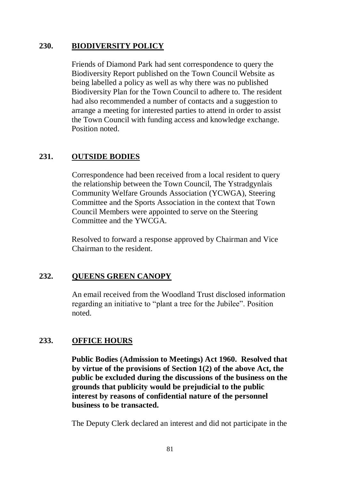#### **230. BIODIVERSITY POLICY**

Friends of Diamond Park had sent correspondence to query the Biodiversity Report published on the Town Council Website as being labelled a policy as well as why there was no published Biodiversity Plan for the Town Council to adhere to. The resident had also recommended a number of contacts and a suggestion to arrange a meeting for interested parties to attend in order to assist the Town Council with funding access and knowledge exchange. Position noted.

#### **231. OUTSIDE BODIES**

Correspondence had been received from a local resident to query the relationship between the Town Council, The Ystradgynlais Community Welfare Grounds Association (YCWGA), Steering Committee and the Sports Association in the context that Town Council Members were appointed to serve on the Steering Committee and the YWCGA.

Resolved to forward a response approved by Chairman and Vice Chairman to the resident.

#### **232. QUEENS GREEN CANOPY**

An email received from the Woodland Trust disclosed information regarding an initiative to "plant a tree for the Jubilee". Position noted.

#### **233. OFFICE HOURS**

**Public Bodies (Admission to Meetings) Act 1960. Resolved that by virtue of the provisions of Section 1(2) of the above Act, the public be excluded during the discussions of the business on the grounds that publicity would be prejudicial to the public interest by reasons of confidential nature of the personnel business to be transacted.**

The Deputy Clerk declared an interest and did not participate in the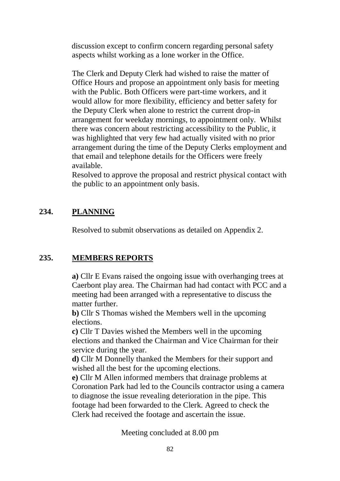discussion except to confirm concern regarding personal safety aspects whilst working as a lone worker in the Office.

The Clerk and Deputy Clerk had wished to raise the matter of Office Hours and propose an appointment only basis for meeting with the Public. Both Officers were part-time workers, and it would allow for more flexibility, efficiency and better safety for the Deputy Clerk when alone to restrict the current drop-in arrangement for weekday mornings, to appointment only. Whilst there was concern about restricting accessibility to the Public, it was highlighted that very few had actually visited with no prior arrangement during the time of the Deputy Clerks employment and that email and telephone details for the Officers were freely available.

Resolved to approve the proposal and restrict physical contact with the public to an appointment only basis.

## **234. PLANNING**

Resolved to submit observations as detailed on Appendix 2.

## **235. MEMBERS REPORTS**

**a)** Cllr E Evans raised the ongoing issue with overhanging trees at Caerbont play area. The Chairman had had contact with PCC and a meeting had been arranged with a representative to discuss the matter further.

**b)** Cllr S Thomas wished the Members well in the upcoming elections.

**c)** Cllr T Davies wished the Members well in the upcoming elections and thanked the Chairman and Vice Chairman for their service during the year.

**d)** Cllr M Donnelly thanked the Members for their support and wished all the best for the upcoming elections.

**e)** Cllr M Allen informed members that drainage problems at Coronation Park had led to the Councils contractor using a camera to diagnose the issue revealing deterioration in the pipe. This footage had been forwarded to the Clerk. Agreed to check the Clerk had received the footage and ascertain the issue.

Meeting concluded at 8.00 pm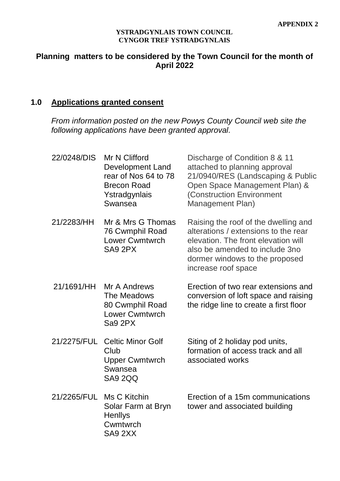## **Planning matters to be considered by the Town Council for the month of April 2022**

## **1.0 Applications granted consent**

*From information posted on the new Powys County Council web site the following applications have been granted approval.*

| 22/0248/DIS | Mr N Clifford<br><b>Development Land</b><br>rear of Nos 64 to 78<br><b>Brecon Road</b><br>Ystradgynlais<br>Swansea | Discharge of Condition 8 & 11<br>attached to planning approval<br>21/0940/RES (Landscaping & Public<br>Open Space Management Plan) &<br>(Construction Environment<br>Management Plan)                          |
|-------------|--------------------------------------------------------------------------------------------------------------------|----------------------------------------------------------------------------------------------------------------------------------------------------------------------------------------------------------------|
| 21/2283/HH  | Mr & Mrs G Thomas<br>76 Cwmphil Road<br><b>Lower Cwmtwrch</b><br>SA9 2PX                                           | Raising the roof of the dwelling and<br>alterations / extensions to the rear<br>elevation. The front elevation will<br>also be amended to include 3no<br>dormer windows to the proposed<br>increase roof space |
| 21/1691/HH  | Mr A Andrews<br>The Meadows<br>80 Cwmphil Road<br><b>Lower Cwmtwrch</b><br>Sa9 2PX                                 | Erection of two rear extensions and<br>conversion of loft space and raising<br>the ridge line to create a first floor                                                                                          |
| 21/2275/FUL | <b>Celtic Minor Golf</b><br>Club<br><b>Upper Cwmtwrch</b><br>Swansea<br><b>SA9 2QQ</b>                             | Siting of 2 holiday pod units,<br>formation of access track and all<br>associated works                                                                                                                        |
| 21/2265/FUL | Ms C Kitchin<br>Solar Farm at Bryn<br><b>Henllys</b><br>Cwmtwrch<br>SA9 2XX                                        | Erection of a 15m communications<br>tower and associated building                                                                                                                                              |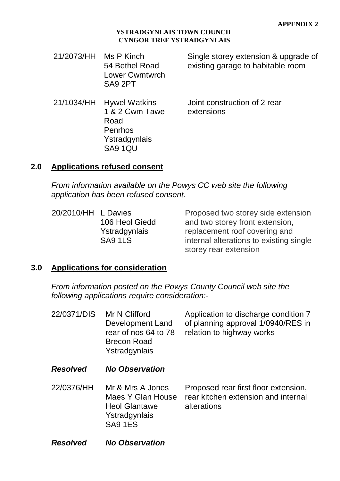21/2073/HH Ms P Kinch 54 Bethel Road Lower Cwmtwrch SA9 2PT Single storey extension & upgrade of existing garage to habitable room 21/1034/HH Hywel Watkins 1 & 2 Cwm Tawe Road Penrhos Joint construction of 2 rear extensions

## **2.0 Applications refused consent**

Ystradgynlais SA9 1QU

*From information available on the Powys CC web site the following application has been refused consent.*

20/2010/HH L Davies 106 Heol Giedd Ystradgynlais SA9 1LS

Proposed two storey side extension and two storey front extension, replacement roof covering and internal alterations to existing single storey rear extension

## **3.0 Applications for consideration**

*From information posted on the Powys County Council web site the following applications require consideration:-*

| 22/0371/DIS     | Mr N Clifford<br>Development Land<br>rear of nos 64 to 78<br><b>Brecon Road</b><br>Ystradgynlais | Application to discharge condition 7<br>of planning approval 1/0940/RES in<br>relation to highway works |
|-----------------|--------------------------------------------------------------------------------------------------|---------------------------------------------------------------------------------------------------------|
| <b>Resolved</b> | <b>No Observation</b>                                                                            |                                                                                                         |
| 22/0376/HH      | Mr & Mrs A Jones<br>Maes Y Glan House<br><b>Heol Glantawe</b><br>Ystradgynlais<br><b>SA9 1ES</b> | Proposed rear first floor extension,<br>rear kitchen extension and internal<br>alterations              |

*Resolved No Observation*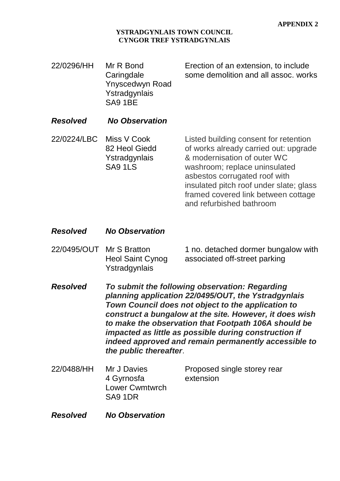- 22/0296/HH Mr R Bond **Caringdale** Ynyscedwyn Road Ystradgynlais SA9 1BE Erection of an extension, to include some demolition and all assoc. works
- *Resolved No Observation*
- 22/0224/LBC Miss V Cook 82 Heol Giedd Ystradgynlais SA9 1LS

Listed building consent for retention of works already carried out: upgrade & modernisation of outer WC washroom; replace uninsulated asbestos corrugated roof with insulated pitch roof under slate; glass framed covered link between cottage and refurbished bathroom

- *Resolved No Observation*
- 22/0495/OUT Mr S Bratton Heol Saint Cynog Ystradgynlais

1 no. detached dormer bungalow with associated off-street parking

- *Resolved To submit the following observation: Regarding planning application 22/0495/OUT, the Ystradgynlais Town Council does not object to the application to construct a bungalow at the site. However, it does wish to make the observation that Footpath 106A should be impacted as little as possible during construction if indeed approved and remain permanently accessible to the public thereafter*.
- 22/0488/HH Mr J Davies 4 Gyrnosfa Lower Cwmtwrch SA9 1DR Proposed single storey rear extension
- *Resolved No Observation*